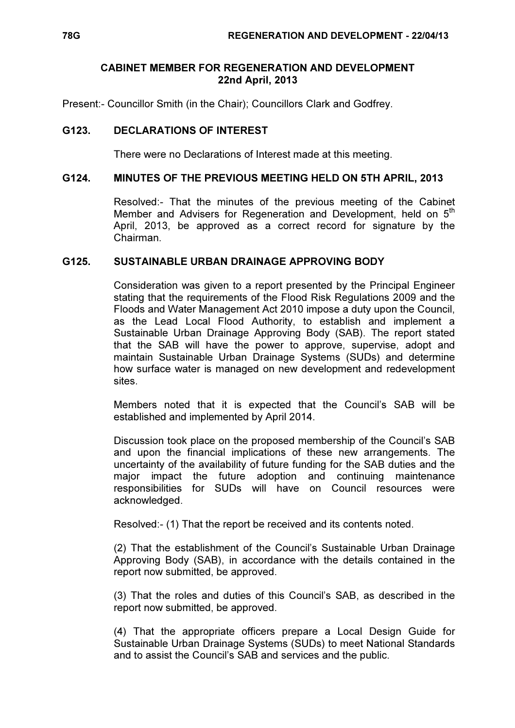### CABINET MEMBER FOR REGENERATION AND DEVELOPMENT 22nd April, 2013

Present:- Councillor Smith (in the Chair); Councillors Clark and Godfrey.

# G123. DECLARATIONS OF INTEREST

There were no Declarations of Interest made at this meeting.

#### G124. MINUTES OF THE PREVIOUS MEETING HELD ON 5TH APRIL, 2013

 Resolved:- That the minutes of the previous meeting of the Cabinet Member and Advisers for Regeneration and Development, held on 5<sup>th</sup> April, 2013, be approved as a correct record for signature by the Chairman.

### G125. SUSTAINABLE URBAN DRAINAGE APPROVING BODY

 Consideration was given to a report presented by the Principal Engineer stating that the requirements of the Flood Risk Regulations 2009 and the Floods and Water Management Act 2010 impose a duty upon the Council, as the Lead Local Flood Authority, to establish and implement a Sustainable Urban Drainage Approving Body (SAB). The report stated that the SAB will have the power to approve, supervise, adopt and maintain Sustainable Urban Drainage Systems (SUDs) and determine how surface water is managed on new development and redevelopment sites.

Members noted that it is expected that the Council's SAB will be established and implemented by April 2014.

Discussion took place on the proposed membership of the Council's SAB and upon the financial implications of these new arrangements. The uncertainty of the availability of future funding for the SAB duties and the major impact the future adoption and continuing maintenance responsibilities for SUDs will have on Council resources were acknowledged.

Resolved:- (1) That the report be received and its contents noted.

(2) That the establishment of the Council's Sustainable Urban Drainage Approving Body (SAB), in accordance with the details contained in the report now submitted, be approved.

(3) That the roles and duties of this Council's SAB, as described in the report now submitted, be approved.

(4) That the appropriate officers prepare a Local Design Guide for Sustainable Urban Drainage Systems (SUDs) to meet National Standards and to assist the Council's SAB and services and the public.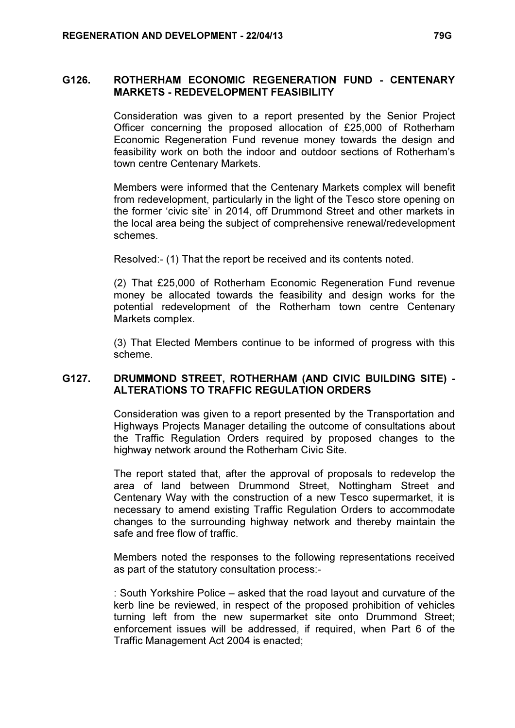### G126. ROTHERHAM ECONOMIC REGENERATION FUND - CENTENARY MARKETS - REDEVELOPMENT FEASIBILITY

 Consideration was given to a report presented by the Senior Project Officer concerning the proposed allocation of £25,000 of Rotherham Economic Regeneration Fund revenue money towards the design and feasibility work on both the indoor and outdoor sections of Rotherham's town centre Centenary Markets.

Members were informed that the Centenary Markets complex will benefit from redevelopment, particularly in the light of the Tesco store opening on the former 'civic site' in 2014, off Drummond Street and other markets in the local area being the subject of comprehensive renewal/redevelopment schemes.

Resolved:- (1) That the report be received and its contents noted.

(2) That £25,000 of Rotherham Economic Regeneration Fund revenue money be allocated towards the feasibility and design works for the potential redevelopment of the Rotherham town centre Centenary Markets complex.

(3) That Elected Members continue to be informed of progress with this scheme.

## G127. DRUMMOND STREET, ROTHERHAM (AND CIVIC BUILDING SITE) - ALTERATIONS TO TRAFFIC REGULATION ORDERS

 Consideration was given to a report presented by the Transportation and Highways Projects Manager detailing the outcome of consultations about the Traffic Regulation Orders required by proposed changes to the highway network around the Rotherham Civic Site.

The report stated that, after the approval of proposals to redevelop the area of land between Drummond Street, Nottingham Street and Centenary Way with the construction of a new Tesco supermarket, it is necessary to amend existing Traffic Regulation Orders to accommodate changes to the surrounding highway network and thereby maintain the safe and free flow of traffic.

Members noted the responses to the following representations received as part of the statutory consultation process:-

: South Yorkshire Police – asked that the road layout and curvature of the kerb line be reviewed, in respect of the proposed prohibition of vehicles turning left from the new supermarket site onto Drummond Street; enforcement issues will be addressed, if required, when Part 6 of the Traffic Management Act 2004 is enacted;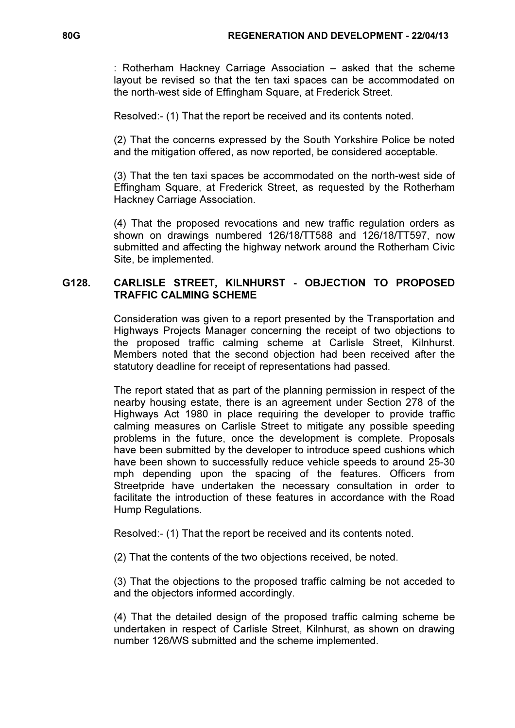: Rotherham Hackney Carriage Association – asked that the scheme layout be revised so that the ten taxi spaces can be accommodated on the north-west side of Effingham Square, at Frederick Street.

Resolved:- (1) That the report be received and its contents noted.

(2) That the concerns expressed by the South Yorkshire Police be noted and the mitigation offered, as now reported, be considered acceptable.

(3) That the ten taxi spaces be accommodated on the north-west side of Effingham Square, at Frederick Street, as requested by the Rotherham Hackney Carriage Association.

(4) That the proposed revocations and new traffic regulation orders as shown on drawings numbered 126/18/TT588 and 126/18/TT597, now submitted and affecting the highway network around the Rotherham Civic Site, be implemented.

## G128. CARLISLE STREET, KILNHURST - OBJECTION TO PROPOSED TRAFFIC CALMING SCHEME

 Consideration was given to a report presented by the Transportation and Highways Projects Manager concerning the receipt of two objections to the proposed traffic calming scheme at Carlisle Street, Kilnhurst. Members noted that the second objection had been received after the statutory deadline for receipt of representations had passed.

The report stated that as part of the planning permission in respect of the nearby housing estate, there is an agreement under Section 278 of the Highways Act 1980 in place requiring the developer to provide traffic calming measures on Carlisle Street to mitigate any possible speeding problems in the future, once the development is complete. Proposals have been submitted by the developer to introduce speed cushions which have been shown to successfully reduce vehicle speeds to around 25-30 mph depending upon the spacing of the features. Officers from Streetpride have undertaken the necessary consultation in order to facilitate the introduction of these features in accordance with the Road Hump Regulations.

Resolved:- (1) That the report be received and its contents noted.

(2) That the contents of the two objections received, be noted.

(3) That the objections to the proposed traffic calming be not acceded to and the objectors informed accordingly.

(4) That the detailed design of the proposed traffic calming scheme be undertaken in respect of Carlisle Street, Kilnhurst, as shown on drawing number 126/WS submitted and the scheme implemented.